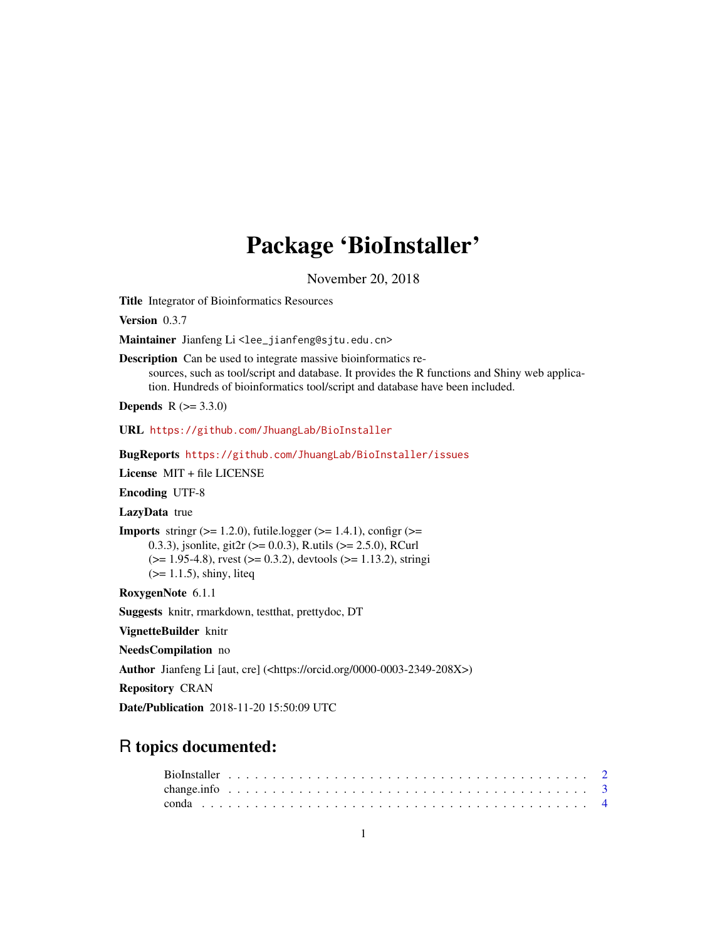# Package 'BioInstaller'

November 20, 2018

<span id="page-0-0"></span>Title Integrator of Bioinformatics Resources

Version 0.3.7

Maintainer Jianfeng Li<lee\_jianfeng@sjtu.edu.cn>

Description Can be used to integrate massive bioinformatics resources, such as tool/script and database. It provides the R functions and Shiny web application. Hundreds of bioinformatics tool/script and database have been included.

**Depends** R  $(>= 3.3.0)$ 

URL <https://github.com/JhuangLab/BioInstaller>

BugReports <https://github.com/JhuangLab/BioInstaller/issues>

License MIT + file LICENSE

Encoding UTF-8

LazyData true

**Imports** stringr  $(>= 1.2.0)$ , futile.logger  $(>= 1.4.1)$ , configr  $(>= 1.4.1)$ 0.3.3), jsonlite, git2r (>= 0.0.3), R.utils (>= 2.5.0), RCurl  $(>= 1.95-4.8)$ , rvest  $(>= 0.3.2)$ , devtools  $(>= 1.13.2)$ , stringi (>= 1.1.5), shiny, liteq

RoxygenNote 6.1.1

Suggests knitr, rmarkdown, testthat, prettydoc, DT

VignetteBuilder knitr

NeedsCompilation no

Author Jianfeng Li [aut, cre] (<https://orcid.org/0000-0003-2349-208X>)

Repository CRAN

Date/Publication 2018-11-20 15:50:09 UTC

# R topics documented: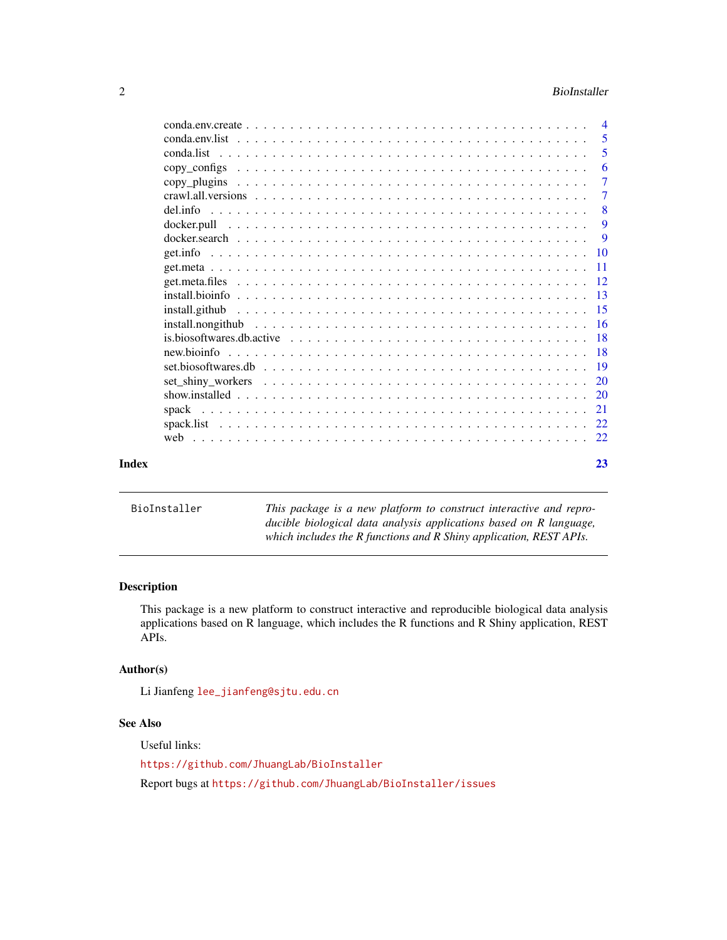#### <span id="page-1-0"></span>2 BioInstaller

|       |             | $\overline{4}$ |
|-------|-------------|----------------|
|       |             | -5             |
|       |             | 5              |
|       |             | 6              |
|       |             | $\overline{7}$ |
|       |             | $\tau$         |
|       |             | -8             |
|       | docker.pull | 9              |
|       |             | 9              |
|       |             |                |
|       |             |                |
|       |             |                |
|       |             |                |
|       |             |                |
|       |             |                |
|       |             |                |
|       |             |                |
|       |             |                |
|       |             | 20             |
|       |             |                |
|       | spack       | 21             |
|       |             |                |
|       |             |                |
| Index |             | 23             |

| BioInstaller | This package is a new platform to construct interactive and repro- |
|--------------|--------------------------------------------------------------------|
|              | ducible biological data analysis applications based on R language, |
|              | which includes the R functions and R Shiny application, REST APIs. |
|              |                                                                    |

# Description

This package is a new platform to construct interactive and reproducible biological data analysis applications based on R language, which includes the R functions and R Shiny application, REST APIs.

# Author(s)

Li Jianfeng [lee\\_jianfeng@sjtu.edu.cn](lee_jianfeng@sjtu.edu.cn)

# See Also

Useful links: <https://github.com/JhuangLab/BioInstaller> Report bugs at <https://github.com/JhuangLab/BioInstaller/issues>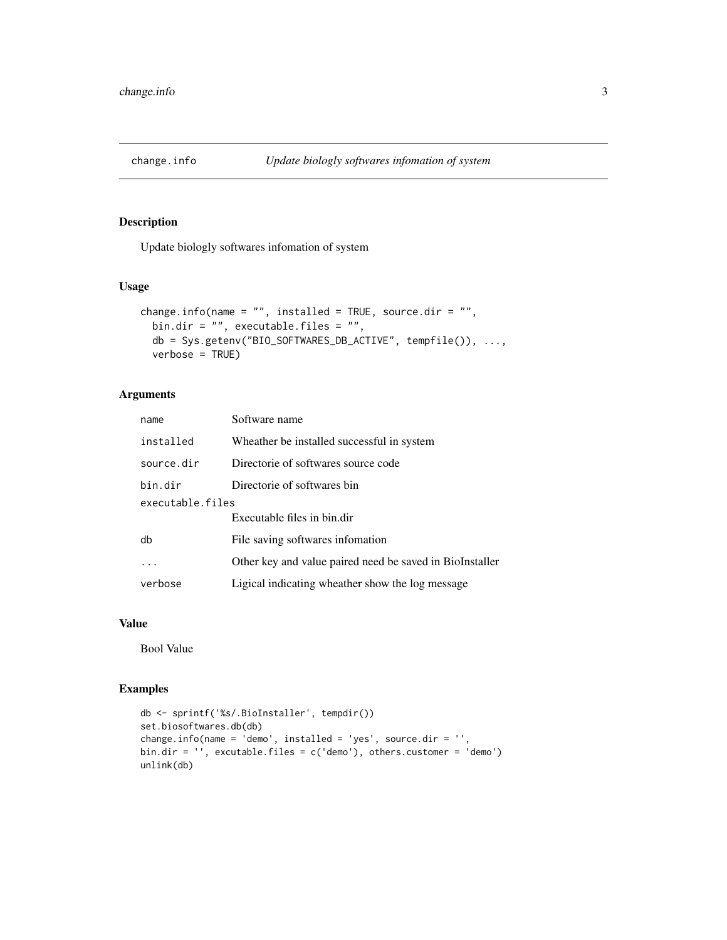<span id="page-2-1"></span><span id="page-2-0"></span>

Update biologly softwares infomation of system

# Usage

```
change.info(name = "", installed = TRUE, source.dir = "",
 bin.dir = "", executable.files = "",
 db = Sys.getenv("BIO_SOFTWARES_DB_ACTIVE", tempfile()), ...,
 verbose = TRUE)
```
# Arguments

| name             | Software name                                            |  |  |
|------------------|----------------------------------------------------------|--|--|
| installed        | Wheather be installed successful in system               |  |  |
| source.dir       | Directorie of softwares source code                      |  |  |
| bin.dir          | Directorie of softwares bin                              |  |  |
| executable.files |                                                          |  |  |
|                  | Executable files in bin.dir                              |  |  |
| db               | File saving softwares infomation                         |  |  |
|                  | Other key and value paired need be saved in BioInstaller |  |  |
| verbose          | Ligical indicating wheather show the log message         |  |  |

#### Value

Bool Value

```
db <- sprintf('%s/.BioInstaller', tempdir())
set.biosoftwares.db(db)
change.info(name = 'demo', installed = 'yes', source.dir = '',
bin.dir = '', excutable.files = c('demo'), others.customer = 'demo')
unlink(db)
```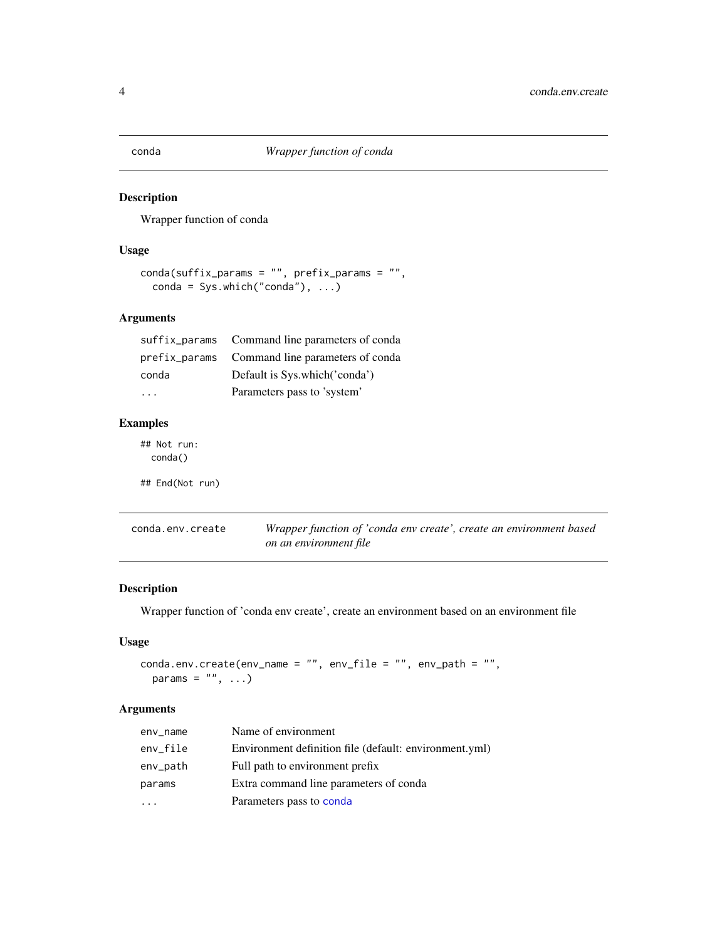<span id="page-3-1"></span><span id="page-3-0"></span>

Wrapper function of conda

# Usage

```
conda(suffix_params = "", prefix_params = "",
 conda = Sys.which("conda"), ...)
```
# Arguments

|       | suffix_params Command line parameters of conda |
|-------|------------------------------------------------|
|       | prefix_params Command line parameters of conda |
| conda | Default is Sys.which('conda')                  |
|       | Parameters pass to 'system'                    |

# Examples

## Not run: conda() ## End(Not run)

| conda.env.create | Wrapper function of 'conda env create', create an environment based |
|------------------|---------------------------------------------------------------------|
|                  | on an environment file                                              |

# Description

Wrapper function of 'conda env create', create an environment based on an environment file

# Usage

```
conda.env.create(env_name = ", env_file = ", env_path = ",
 params = ", ...)
```
# Arguments

| env_name | Name of environment                                    |
|----------|--------------------------------------------------------|
| env_file | Environment definition file (default: environment.yml) |
| env_path | Full path to environment prefix                        |
| params   | Extra command line parameters of conda                 |
|          | Parameters pass to conda                               |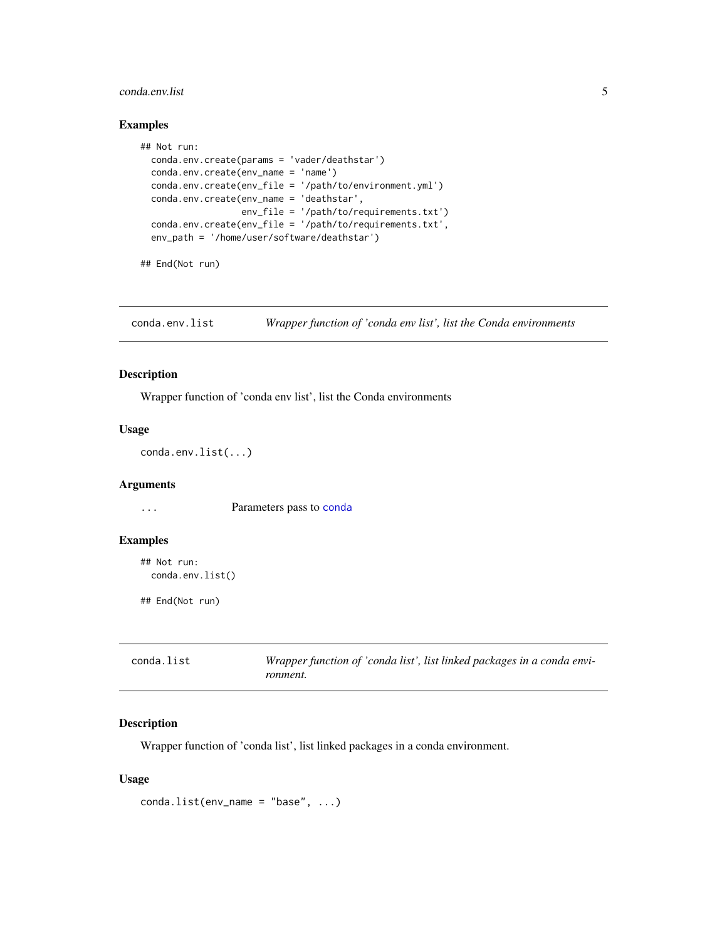#### <span id="page-4-0"></span>conda.env.list 5

#### Examples

```
## Not run:
 conda.env.create(params = 'vader/deathstar')
 conda.env.create(env_name = 'name')
 conda.env.create(env_file = '/path/to/environment.yml')
 conda.env.create(env_name = 'deathstar',
                   env_file = '/path/to/requirements.txt')
 conda.env.create(env_file = '/path/to/requirements.txt',
 env_path = '/home/user/software/deathstar')
```

```
## End(Not run)
```
conda.env.list *Wrapper function of 'conda env list', list the Conda environments*

#### Description

Wrapper function of 'conda env list', list the Conda environments

# Usage

conda.env.list(...)

#### Arguments

... Parameters pass to [conda](#page-3-1)

#### Examples

```
## Not run:
 conda.env.list()
```
## End(Not run)

| conda.list | Wrapper function of 'conda list', list linked packages in a conda envi- |
|------------|-------------------------------------------------------------------------|
|            | ronment.                                                                |

#### Description

Wrapper function of 'conda list', list linked packages in a conda environment.

```
conda.list(env_name = "base", ...)
```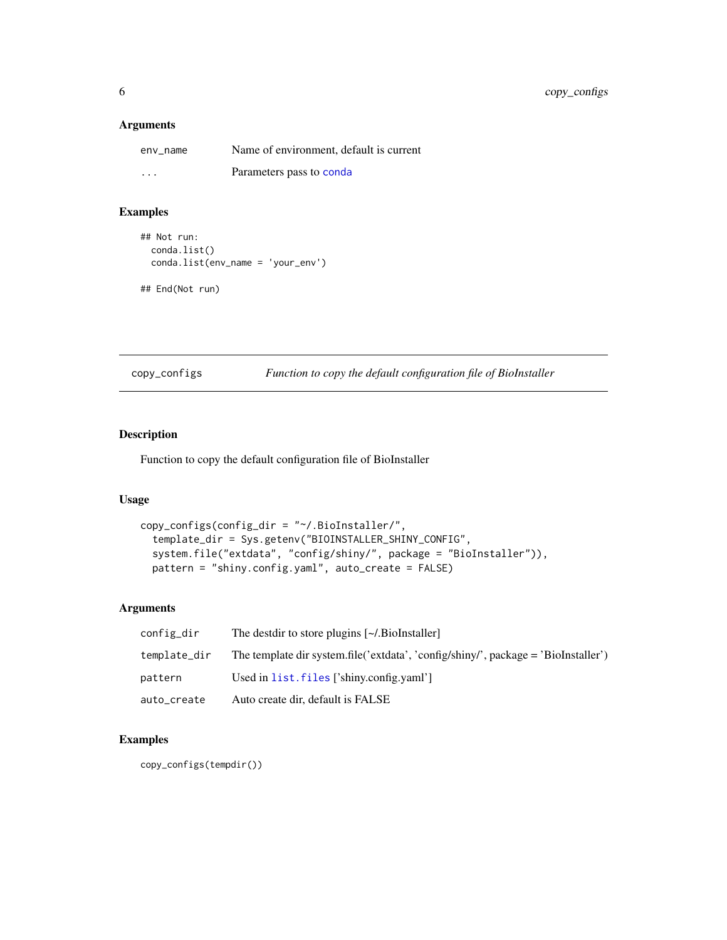<span id="page-5-0"></span>6 copy\_configs

#### Arguments

| env name | Name of environment, default is current |
|----------|-----------------------------------------|
| $\cdots$ | Parameters pass to conda                |

# Examples

```
## Not run:
 conda.list()
 conda.list(env_name = 'your_env')
```

```
## End(Not run)
```
copy\_configs *Function to copy the default configuration file of BioInstaller*

# Description

Function to copy the default configuration file of BioInstaller

# Usage

```
copy_configs(config_dir = "~/.BioInstaller/",
  template_dir = Sys.getenv("BIOINSTALLER_SHINY_CONFIG",
  system.file("extdata", "config/shiny/", package = "BioInstaller")),
 pattern = "shiny.config.yaml", auto_create = FALSE)
```
# Arguments

| config_dir   | The destdir to store plugins [~/.BioInstaller]                                    |
|--------------|-----------------------------------------------------------------------------------|
| template_dir | The template dir system.file('extdata', 'config/shiny', package = 'BioInstaller') |
| pattern      | Used in list. files ['shiny.config.yaml']                                         |
| auto_create  | Auto create dir, default is FALSE                                                 |

# Examples

copy\_configs(tempdir())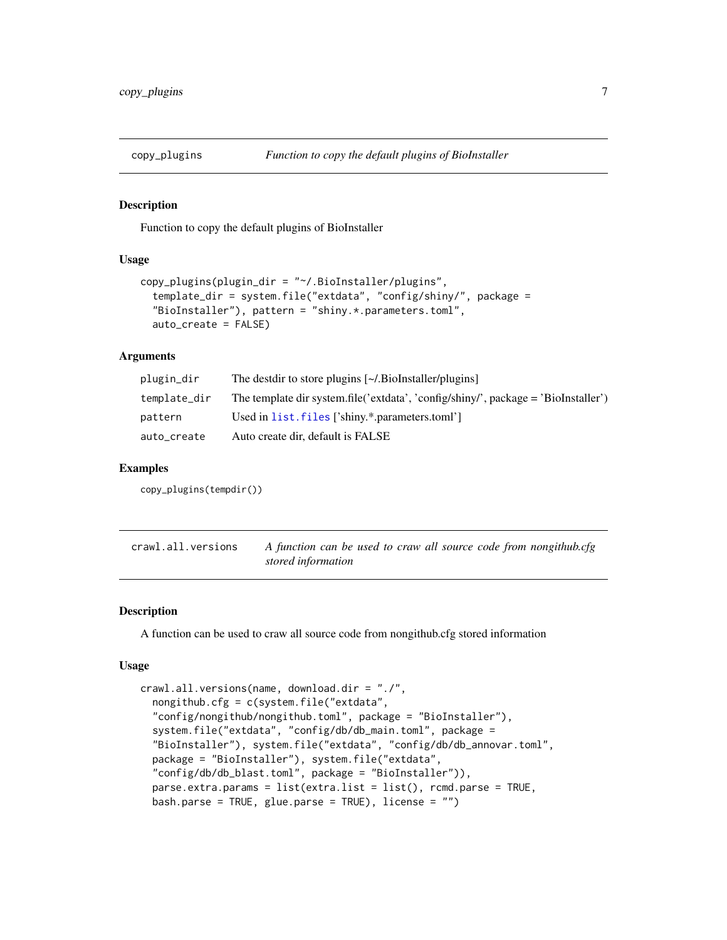<span id="page-6-0"></span>

Function to copy the default plugins of BioInstaller

# Usage

```
copy_plugins(plugin_dir = "~/.BioInstaller/plugins",
  template_dir = system.file("extdata", "config/shiny/", package =
  "BioInstaller"), pattern = "shiny.*.parameters.toml",
  auto_create = FALSE)
```
#### Arguments

| plugin_dir   | The destdir to store plugins [~/.BioInstaller/plugins]                             |
|--------------|------------------------------------------------------------------------------------|
| template_dir | The template dir system.file('extdata', 'config/shiny/', package = 'BioInstaller') |
| pattern      | Used in list. files ['shiny.*.parameters.toml']                                    |
| auto_create  | Auto create dir, default is FALSE                                                  |

#### Examples

copy\_plugins(tempdir())

| crawl.all.versions | A function can be used to craw all source code from nongithub.cfg |  |  |  |
|--------------------|-------------------------------------------------------------------|--|--|--|
|                    | stored information                                                |  |  |  |

#### Description

A function can be used to craw all source code from nongithub.cfg stored information

```
crawl.all.versions(name, download.dir = "./",
  nongithub.cfg = c(system.file("extdata",
  "config/nongithub/nongithub.toml", package = "BioInstaller"),
  system.file("extdata", "config/db/db_main.toml", package =
  "BioInstaller"), system.file("extdata", "config/db/db_annovar.toml",
  package = "BioInstaller"), system.file("extdata",
  "config/db/db_blast.toml", package = "BioInstaller")),
  parse.extra.params = list(extra.list = list(), rcmd.parse = TRUE,
 bash.parse = TRUE, glue.parse = TRUE), license = "")
```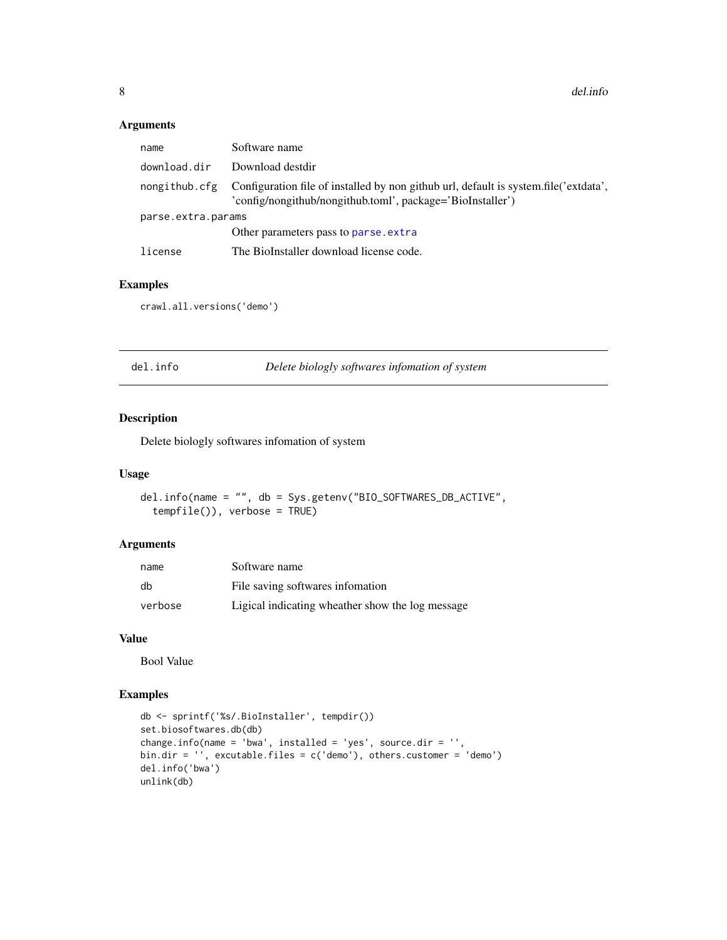<span id="page-7-0"></span>8 del.info

#### Arguments

| name               | Software name                                                                                                                                                    |
|--------------------|------------------------------------------------------------------------------------------------------------------------------------------------------------------|
| download.dir       | Download destdir                                                                                                                                                 |
|                    | nongithub.cfg Configuration file of installed by non github url, default is system.file('extdata',<br>'config/nongithub/nongithub.toml', package='BioInstaller') |
| parse.extra.params |                                                                                                                                                                  |
|                    | Other parameters pass to parse, extra                                                                                                                            |
| license            | The BioInstaller download license code.                                                                                                                          |

# Examples

```
crawl.all.versions('demo')
```
del.info *Delete biologly softwares infomation of system*

# Description

Delete biologly softwares infomation of system

# Usage

```
del.info(name = "", db = Sys.getenv("BIO_SOFTWARES_DB_ACTIVE",
  tempfile()), verbose = TRUE)
```
#### Arguments

| name    | Software name                                    |
|---------|--------------------------------------------------|
| db      | File saving softwares information                |
| verbose | Ligical indicating wheather show the log message |

#### Value

Bool Value

```
db <- sprintf('%s/.BioInstaller', tempdir())
set.biosoftwares.db(db)
change.info(name = 'bwa', installed = 'yes', source.dir = '',
bin.dir = '', excutable.files = c('demo'), others.customer = 'demo')
del.info('bwa')
unlink(db)
```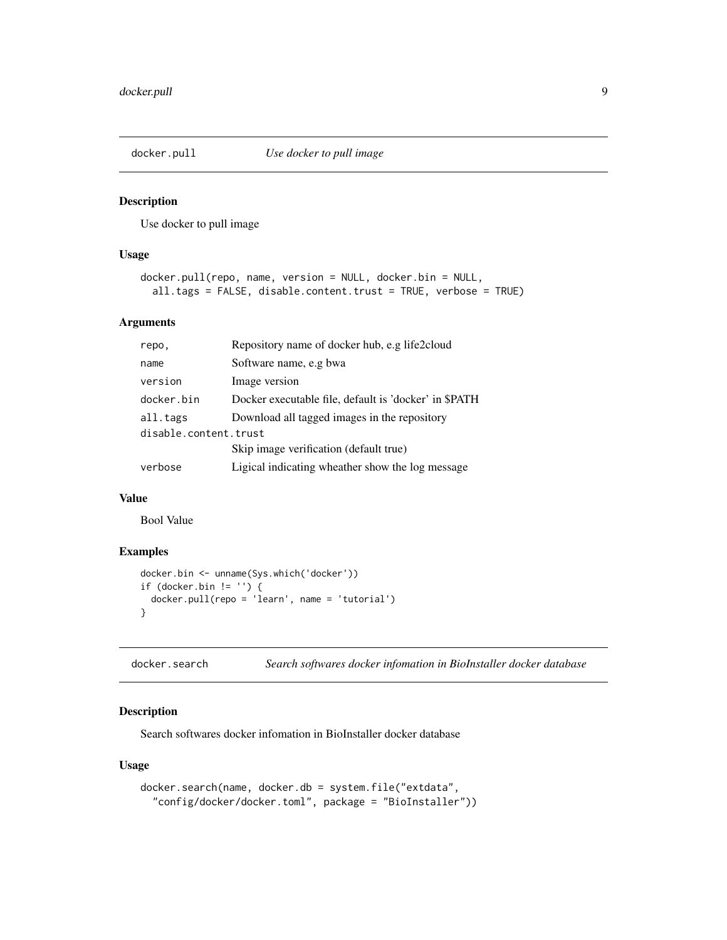<span id="page-8-0"></span>

Use docker to pull image

# Usage

```
docker.pull(repo, name, version = NULL, docker.bin = NULL,
 all.tags = FALSE, disable.content.trust = TRUE, verbose = TRUE)
```
# Arguments

| repo,                 | Repository name of docker hub, e.g life2cloud         |  |
|-----------------------|-------------------------------------------------------|--|
| name                  | Software name, e.g bwa                                |  |
| version               | Image version                                         |  |
| docker.bin            | Docker executable file, default is 'docker' in \$PATH |  |
| all.tags              | Download all tagged images in the repository          |  |
| disable.content.trust |                                                       |  |
|                       | Skip image verification (default true)                |  |
| verbose               | Ligical indicating wheather show the log message      |  |

# Value

Bool Value

# Examples

```
docker.bin <- unname(Sys.which('docker'))
if (docker.bin != '') {
 docker.pull(repo = 'learn', name = 'tutorial')
}
```
docker.search *Search softwares docker infomation in BioInstaller docker database*

# Description

Search softwares docker infomation in BioInstaller docker database

```
docker.search(name, docker.db = system.file("extdata",
  "config/docker/docker.toml", package = "BioInstaller"))
```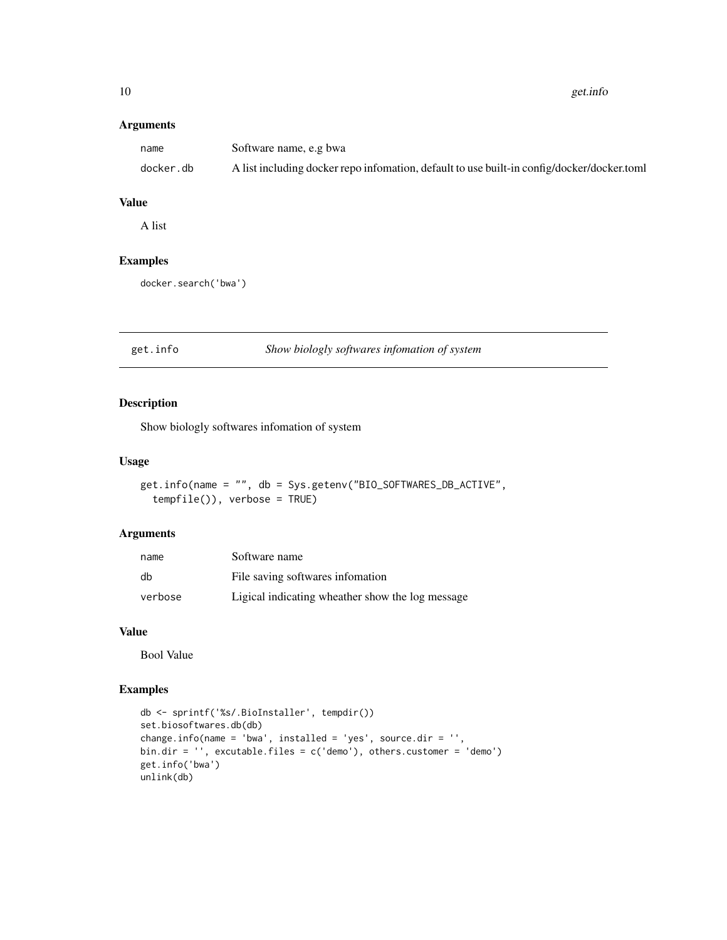<span id="page-9-0"></span>10 get.info

# Arguments

| name      | Software name, e.g bwa                                                                     |
|-----------|--------------------------------------------------------------------------------------------|
| docker.db | A list including docker repo infomation, default to use built-in config/docker/docker.toml |

# Value

A list

# Examples

docker.search('bwa')

# get.info *Show biologly softwares infomation of system*

# Description

Show biologly softwares infomation of system

#### Usage

```
get.info(name = "", db = Sys.getenv("BIO_SOFTWARES_DB_ACTIVE",
  tempfile()), verbose = TRUE)
```
# Arguments

| name    | Software name                                    |
|---------|--------------------------------------------------|
| db      | File saving softwares infomation                 |
| verbose | Ligical indicating wheather show the log message |

#### Value

Bool Value

```
db <- sprintf('%s/.BioInstaller', tempdir())
set.biosoftwares.db(db)
change.info(name = 'bwa', installed = 'yes', source.dir = '',
bin.dir = '', excutable.files = c('demo'), others.customer = 'demo')
get.info('bwa')
unlink(db)
```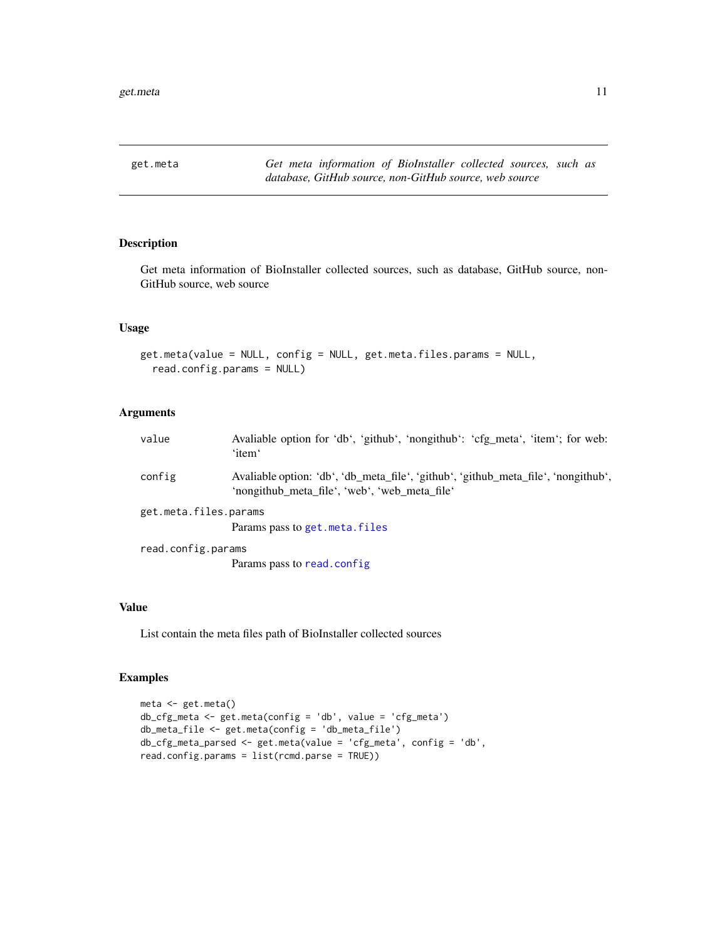<span id="page-10-0"></span>

Get meta information of BioInstaller collected sources, such as database, GitHub source, non-GitHub source, web source

#### Usage

```
get.meta(value = NULL, config = NULL, get.meta.files.params = NULL,
  read.config.params = NULL)
```
# Arguments

| value                 | Avaliable option for 'db', 'github', 'nongithub': 'cfg_meta', 'item'; for web:<br>'item'                                            |
|-----------------------|-------------------------------------------------------------------------------------------------------------------------------------|
| config                | Avaliable option: 'db', 'db_meta_file', 'github', 'github_meta_file', 'nongithub',<br>'nongithub meta file', 'web', 'web meta file' |
| get.meta.files.params |                                                                                                                                     |
|                       | Params pass to get. meta. files                                                                                                     |
| read.config.params    |                                                                                                                                     |
|                       | Params pass to read.config.                                                                                                         |

#### Value

List contain the meta files path of BioInstaller collected sources

```
meta <- get.meta()
db_cfg_meta <- get.meta(config = 'db', value = 'cfg_meta')
db_meta_file <- get.meta(config = 'db_meta_file')
db_cfg_meta_parsed <- get.meta(value = 'cfg_meta', config = 'db',
read.config.params = list(rcmd.parse = TRUE))
```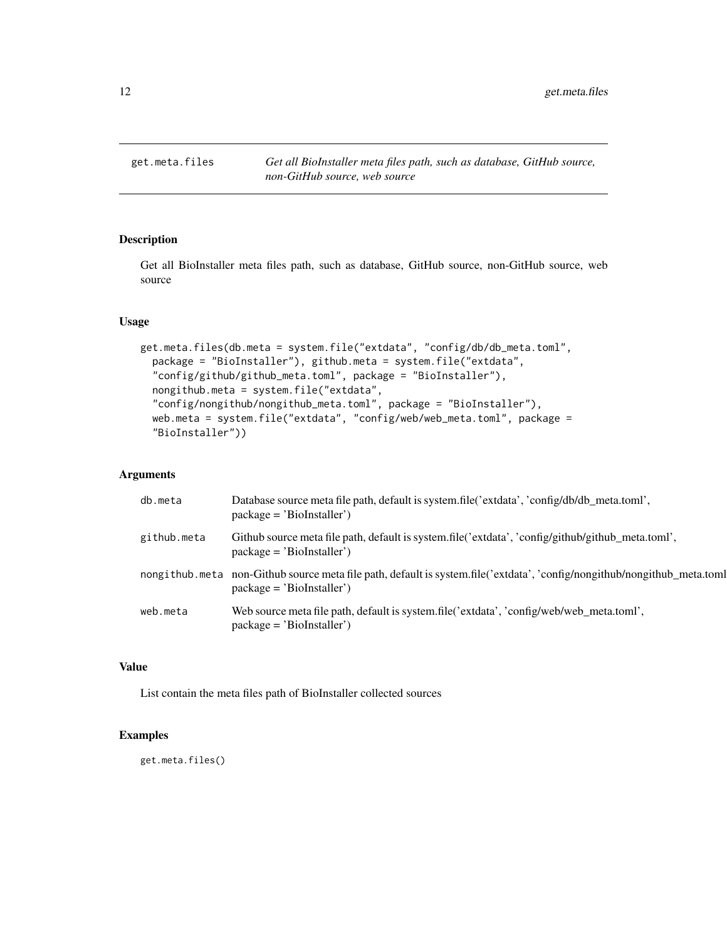<span id="page-11-1"></span><span id="page-11-0"></span>

Get all BioInstaller meta files path, such as database, GitHub source, non-GitHub source, web source

# Usage

```
get.meta.files(db.meta = system.file("extdata", "config/db/db_meta.toml",
 package = "BioInstaller"), github.meta = system.file("extdata",
  "config/github/github_meta.toml", package = "BioInstaller"),
  nongithub.meta = system.file("extdata",
  "config/nongithub/nongithub_meta.toml", package = "BioInstaller"),
  web.meta = system.file("extdata", "config/web/web_meta.toml", package =
  "BioInstaller"))
```
#### Arguments

| db.meta     | Database source meta file path, default is system.file('extdata', 'config/db/db_meta.toml',<br>$package = 'Biofnstaller')$                              |
|-------------|---------------------------------------------------------------------------------------------------------------------------------------------------------|
| github.meta | Github source meta file path, default is system.file('extdata', 'config/github/github_meta.toml',<br>$package = 'Biofnstaller')$                        |
|             | nongithub.meta non-Github source meta file path, default is system.file('extdata', 'config/nongithub/nongithub_meta.toml<br>$package = 'Biofnstaller')$ |
| web.meta    | Web source meta file path, default is system.file('extdata', 'config/web/web meta.toml',<br>$package = 'Biofnstaller')$                                 |

#### Value

List contain the meta files path of BioInstaller collected sources

# Examples

get.meta.files()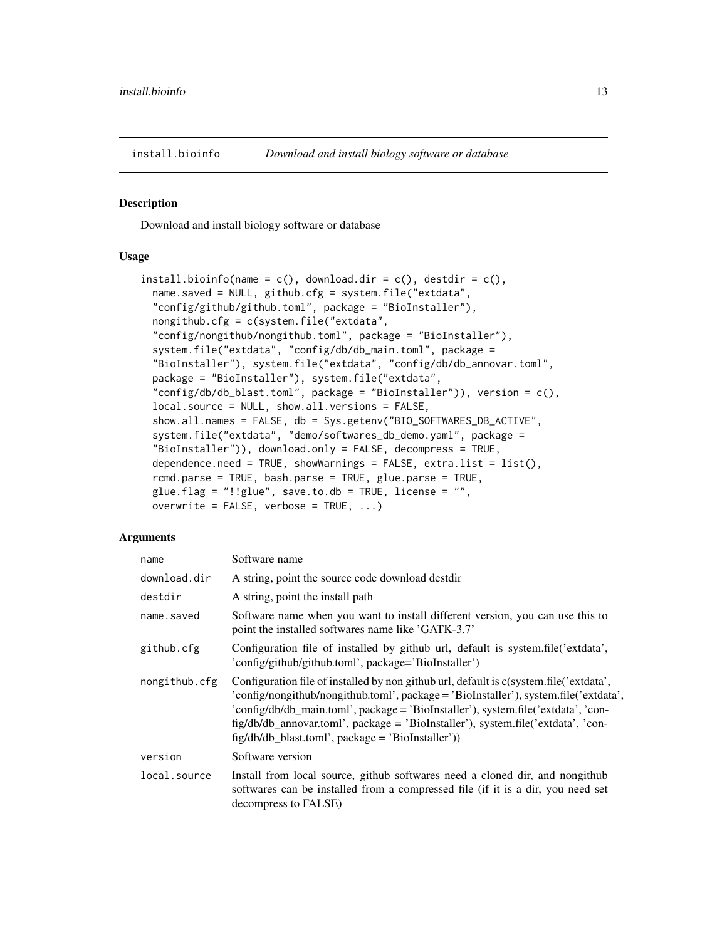<span id="page-12-0"></span>

Download and install biology software or database

#### Usage

```
install.bioinfo(name = c(), download.dir = c(), destdir = c(),
 name.saved = NULL, github.cfg = system.file("extdata",
 "config/github/github.toml", package = "BioInstaller"),
 nongithub.cfg = c(system.file("extdata",
 "config/nongithub/nongithub.toml", package = "BioInstaller"),
 system.file("extdata", "config/db/db_main.toml", package =
 "BioInstaller"), system.file("extdata", "config/db/db_annovar.toml",
 package = "BioInstaller"), system.file("extdata",
 "config/db/db_blast.toml", package = "BioInstaller")), version = c(),
 local.source = NULL, show.all.versions = FALSE,
 show.all.names = FALSE, db = Sys.getenv("BIO_SOFTWARES_DB_ACTIVE",
 system.file("extdata", "demo/softwares_db_demo.yaml", package =
 "BioInstaller")), download.only = FALSE, decompress = TRUE,
 dependence.need = TRUE, showWarnings = FALSE, extra.list = list(),
 rcmd.parse = TRUE, bash.parse = TRUE, glue.parse = TRUE,
 glue.flag = "!!glue", save.to.db = TRUE, license = "",
 overwrite = FALSE, verbose = TRUE, ...)
```
#### Arguments

| name          | Software name                                                                                                                                                                                                                                                                                                                                                                                                  |
|---------------|----------------------------------------------------------------------------------------------------------------------------------------------------------------------------------------------------------------------------------------------------------------------------------------------------------------------------------------------------------------------------------------------------------------|
| download.dir  | A string, point the source code download destdir                                                                                                                                                                                                                                                                                                                                                               |
| destdir       | A string, point the install path                                                                                                                                                                                                                                                                                                                                                                               |
| name.saved    | Software name when you want to install different version, you can use this to<br>point the installed softwares name like 'GATK-3.7'                                                                                                                                                                                                                                                                            |
| github.cfg    | Configuration file of installed by github url, default is system.file('extdata',<br>'config/github/github.toml', package='BioInstaller')                                                                                                                                                                                                                                                                       |
| nongithub.cfg | Configuration file of installed by non github url, default is c(system.file('extdata',<br>'config/nongithub/nongithub.toml', package = 'BioInstaller'), system.file('extdata',<br>'config/db/db_main.toml', package = 'BioInstaller'), system.file('extdata', 'con-<br>fig/db/db_annovar.toml', package = 'BioInstaller'), system.file('extdata', 'con-<br>$fig/db/db_blast.toml', package = 'BioInstaller'))$ |
| version       | Software version                                                                                                                                                                                                                                                                                                                                                                                               |
| local.source  | Install from local source, github softwares need a cloned dir, and nongithub<br>softwares can be installed from a compressed file (if it is a dir, you need set<br>decompress to FALSE)                                                                                                                                                                                                                        |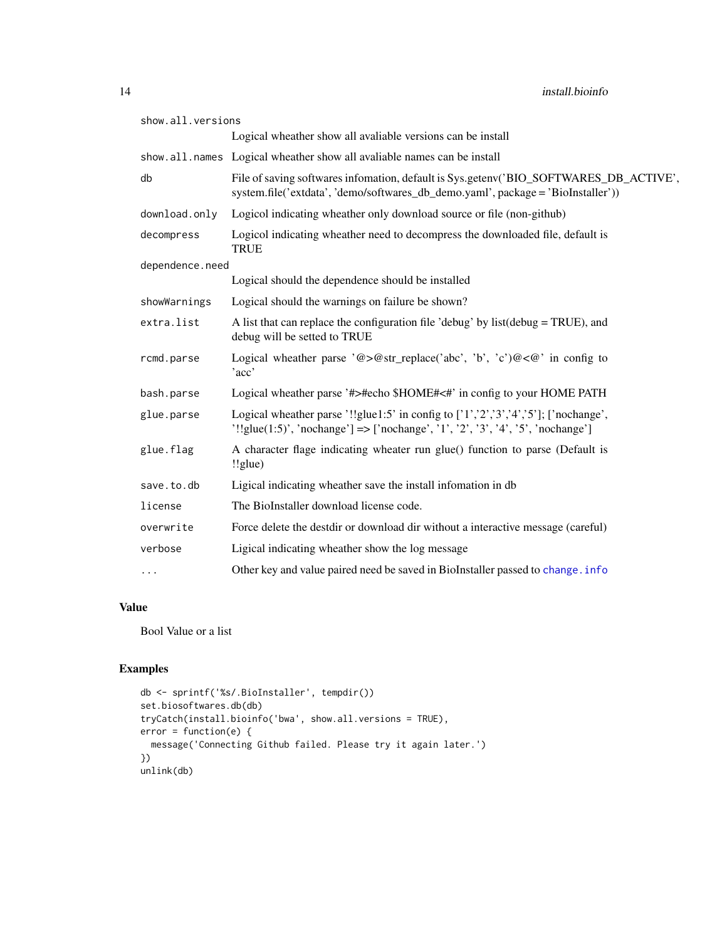<span id="page-13-0"></span>

| show.all.versions |                                                                                                                                                                           |
|-------------------|---------------------------------------------------------------------------------------------------------------------------------------------------------------------------|
|                   | Logical wheather show all avaliable versions can be install                                                                                                               |
|                   | show.all.names Logical wheather show all avaliable names can be install                                                                                                   |
| db                | File of saving softwares infomation, default is Sys.getenv('BIO_SOFTWARES_DB_ACTIVE',<br>system.file('extdata', 'demo/softwares_db_demo.yaml', package = 'BioInstaller')) |
| download.only     | Logicol indicating wheather only download source or file (non-github)                                                                                                     |
| decompress        | Logicol indicating wheather need to decompress the downloaded file, default is<br><b>TRUE</b>                                                                             |
| dependence.need   |                                                                                                                                                                           |
|                   | Logical should the dependence should be installed                                                                                                                         |
| showWarnings      | Logical should the warnings on failure be shown?                                                                                                                          |
| extra.list        | A list that can replace the configuration file 'debug' by list $(debug = TRUE)$ , and<br>debug will be setted to TRUE                                                     |
| rcmd.parse        | Logical wheather parse '@>@str_replace('abc', 'b', 'c')@<@' in config to<br>'acc'                                                                                         |
| bash.parse        | Logical wheather parse '#>#echo \$HOME#<#' in config to your HOME PATH                                                                                                    |
| glue.parse        | Logical wheather parse '!!glue1:5' in config to ['1','2','3','4','5']; ['nochange',<br>'!!glue(1:5)', 'nochange'] => ['nochange', '1', '2', '3', '4', '5', 'nochange']    |
| glue.flag         | A character flage indicating wheater run glue() function to parse (Default is<br>!!glue)                                                                                  |
| save.to.db        | Ligical indicating wheather save the install information in db                                                                                                            |
| license           | The BioInstaller download license code.                                                                                                                                   |
| overwrite         | Force delete the destdir or download dir without a interactive message (careful)                                                                                          |
| verbose           | Ligical indicating wheather show the log message                                                                                                                          |
| $\cdots$          | Other key and value paired need be saved in BioInstaller passed to change. info                                                                                           |

# Value

Bool Value or a list

```
db <- sprintf('%s/.BioInstaller', tempdir())
set.biosoftwares.db(db)
tryCatch(install.bioinfo('bwa', show.all.versions = TRUE),
error = function(e) {
  message('Connecting Github failed. Please try it again later.')
})
unlink(db)
```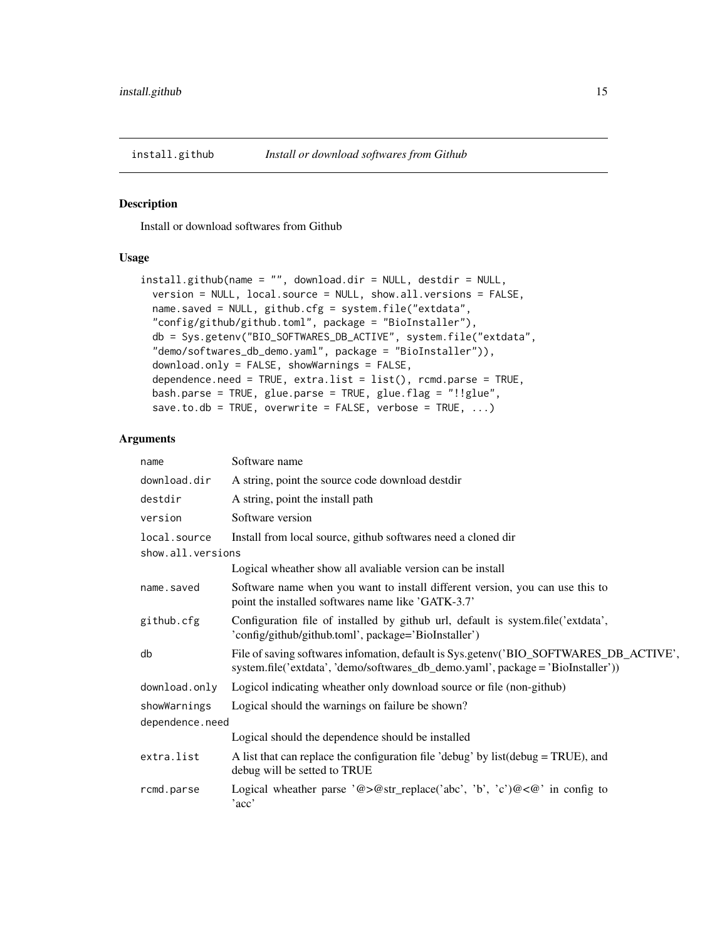<span id="page-14-0"></span>

Install or download softwares from Github

#### Usage

```
install.github(name = "", download.dir = NULL, destdir = NULL,
 version = NULL, local.source = NULL, show.all.versions = FALSE,
 name.saved = NULL, github.cfg = system.file("extdata",
  "config/github/github.toml", package = "BioInstaller"),
  db = Sys.getenv("BIO_SOFTWARES_DB_ACTIVE", system.file("extdata",
  "demo/softwares_db_demo.yaml", package = "BioInstaller")),
  download.only = FALSE, showWarnings = FALSE,
  dependence.need = TRUE, extra.list = list(), rcmd.parse = TRUE,
 bash.parse = TRUE, glue.parse = TRUE, glue.flag = "!!glue",
  save.to.db = TRUE, overwrite = FALSE, verbose = TRUE, \ldots)
```
#### Arguments

| name              | Software name                                                                                                                                                             |  |
|-------------------|---------------------------------------------------------------------------------------------------------------------------------------------------------------------------|--|
| download.dir      | A string, point the source code download destdir                                                                                                                          |  |
| destdir           | A string, point the install path                                                                                                                                          |  |
| version           | Software version                                                                                                                                                          |  |
| local.source      | Install from local source, github softwares need a cloned dir                                                                                                             |  |
| show.all.versions |                                                                                                                                                                           |  |
|                   | Logical wheather show all avaliable version can be install                                                                                                                |  |
| name.saved        | Software name when you want to install different version, you can use this to<br>point the installed softwares name like 'GATK-3.7'                                       |  |
| github.cfg        | Configuration file of installed by github url, default is system.file('extdata',<br>'config/github/github.toml', package='BioInstaller')                                  |  |
| db                | File of saving softwares infomation, default is Sys.getenv('BIO_SOFTWARES_DB_ACTIVE',<br>system.file('extdata', 'demo/softwares_db_demo.yaml', package = 'BioInstaller')) |  |
| download.only     | Logicol indicating wheather only download source or file (non-github)                                                                                                     |  |
| showWarnings      | Logical should the warnings on failure be shown?                                                                                                                          |  |
| dependence.need   |                                                                                                                                                                           |  |
|                   | Logical should the dependence should be installed                                                                                                                         |  |
| extra.list        | A list that can replace the configuration file 'debug' by list $(debug = TRUE)$ , and<br>debug will be setted to TRUE                                                     |  |
| rcmd.parse        | Logical wheather parse '@>@str_replace('abc', 'b', 'c')@<@' in config to<br>'acc'                                                                                         |  |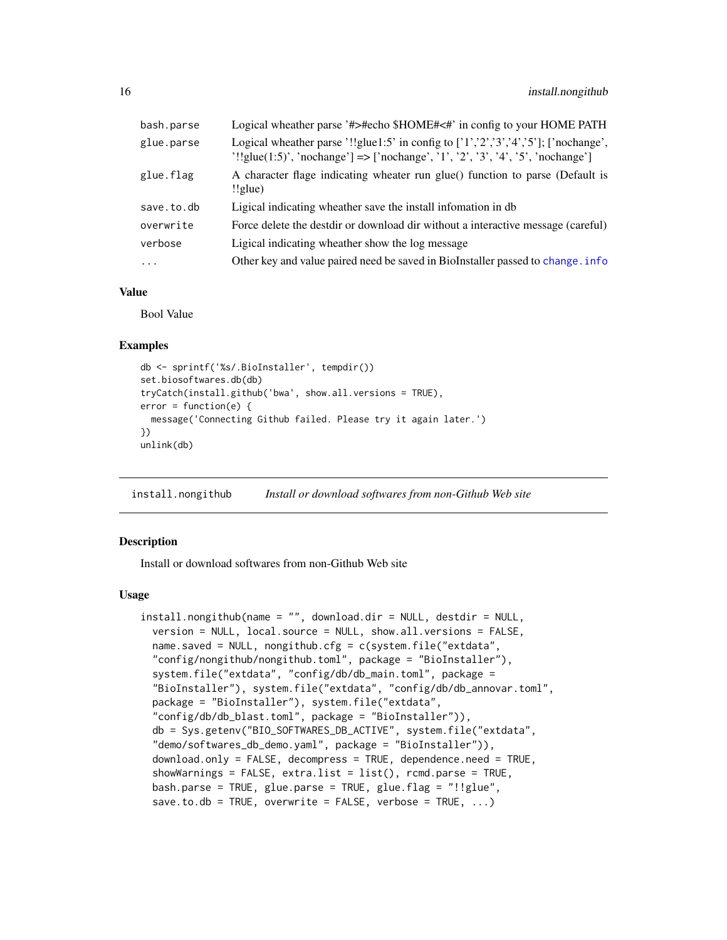<span id="page-15-0"></span>

| bash.parse | Logical wheather parse '#>#echo \$HOME#<#' in config to your HOME PATH                                                                                                        |
|------------|-------------------------------------------------------------------------------------------------------------------------------------------------------------------------------|
| glue.parse | Logical wheather parse '!!glue1:5' in config to $['1', '2', '3', '4', '5']$ ; ['nochange',<br>'!!glue(1:5)', 'nochange'] => ['nochange', '1', '2', '3', '4', '5', 'nochange'] |
| glue.flag  | A character flage indicating wheater run glue() function to parse (Default is<br>$!$ lglue)                                                                                   |
| save.to.db | Ligical indicating wheather save the install information in db                                                                                                                |
| overwrite  | Force delete the destdir or download dir without a interactive message (careful)                                                                                              |
| verbose    | Ligical indicating wheather show the log message                                                                                                                              |
| $\cdots$   | Other key and value paired need be saved in BioInstaller passed to change. info                                                                                               |

#### Value

Bool Value

# Examples

```
db <- sprintf('%s/.BioInstaller', tempdir())
set.biosoftwares.db(db)
tryCatch(install.github('bwa', show.all.versions = TRUE),
error = function(e) {
 message('Connecting Github failed. Please try it again later.')
})
unlink(db)
```
install.nongithub *Install or download softwares from non-Github Web site*

#### **Description**

Install or download softwares from non-Github Web site

```
install.nongithub(name = "", download.dir = NULL, destdir = NULL,
 version = NULL, local.source = NULL, show.all.versions = FALSE,
  name.saved = NULL, nongithub.cfg = c(system.file("extdata",
  "config/nongithub/nongithub.toml", package = "BioInstaller"),
  system.file("extdata", "config/db/db_main.toml", package =
  "BioInstaller"), system.file("extdata", "config/db/db_annovar.toml",
  package = "BioInstaller"), system.file("extdata",
  "config/db/db_blast.toml", package = "BioInstaller")),
  db = Sys.getenv("BIO_SOFTWARES_DB_ACTIVE", system.file("extdata",
  "demo/softwares_db_demo.yaml", package = "BioInstaller")),
  download.only = FALSE, decompress = TRUE, dependence.need = TRUE,
  showWarnings = FALSE, extra.list = list(), rcmd.parse = TRUE,
  bash.parse = TRUE, glue.parse = TRUE, glue.flag = "!!glue",
  save.to.db = TRUE, overwrite = FALSE, verbose = TRUE, \ldots)
```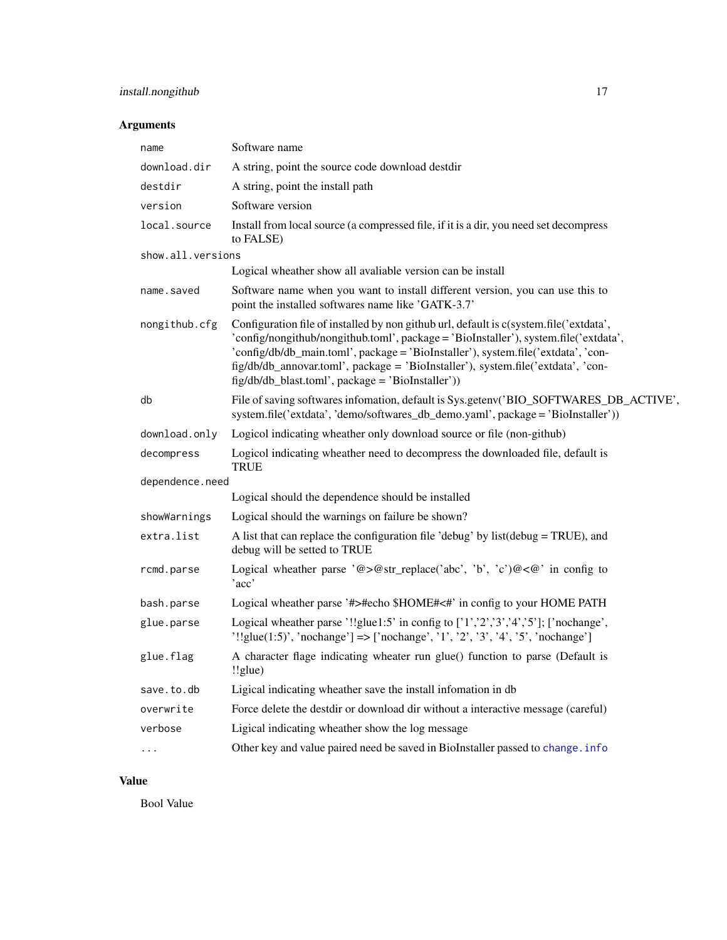# <span id="page-16-0"></span>install.nongithub 17

# Arguments

| name                 | Software name                                                                                                                                                                                                                                                                                                                                                                                                  |
|----------------------|----------------------------------------------------------------------------------------------------------------------------------------------------------------------------------------------------------------------------------------------------------------------------------------------------------------------------------------------------------------------------------------------------------------|
| download.dir         | A string, point the source code download destdir                                                                                                                                                                                                                                                                                                                                                               |
| destdir              | A string, point the install path                                                                                                                                                                                                                                                                                                                                                                               |
| version              | Software version                                                                                                                                                                                                                                                                                                                                                                                               |
| local.source         | Install from local source (a compressed file, if it is a dir, you need set decompress<br>to FALSE)                                                                                                                                                                                                                                                                                                             |
| show.all.versions    |                                                                                                                                                                                                                                                                                                                                                                                                                |
|                      | Logical wheather show all avaliable version can be install                                                                                                                                                                                                                                                                                                                                                     |
| name.saved           | Software name when you want to install different version, you can use this to<br>point the installed softwares name like 'GATK-3.7'                                                                                                                                                                                                                                                                            |
| nongithub.cfg        | Configuration file of installed by non github url, default is c(system.file('extdata',<br>'config/nongithub/nongithub.toml', package = 'BioInstaller'), system.file('extdata',<br>'config/db/db_main.toml', package = 'BioInstaller'), system.file('extdata', 'con-<br>fig/db/db_annovar.toml', package = 'BioInstaller'), system.file('extdata', 'con-<br>$fig/db/db_blast.com'$ , package = 'BioInstaller')) |
| db                   | File of saving softwares infomation, default is Sys.getenv('BIO_SOFTWARES_DB_ACTIVE',<br>system.file('extdata', 'demo/softwares_db_demo.yaml', package = 'BioInstaller'))                                                                                                                                                                                                                                      |
| download.only        | Logicol indicating wheather only download source or file (non-github)                                                                                                                                                                                                                                                                                                                                          |
| decompress           | Logicol indicating wheather need to decompress the downloaded file, default is<br><b>TRUE</b>                                                                                                                                                                                                                                                                                                                  |
| dependence.need      |                                                                                                                                                                                                                                                                                                                                                                                                                |
|                      | Logical should the dependence should be installed                                                                                                                                                                                                                                                                                                                                                              |
| showWarnings         | Logical should the warnings on failure be shown?                                                                                                                                                                                                                                                                                                                                                               |
| extra.list           | A list that can replace the configuration file 'debug' by list(debug = TRUE), and<br>debug will be setted to TRUE                                                                                                                                                                                                                                                                                              |
| rcmd.parse           | Logical wheather parse '@>@str_replace('abc', 'b', 'c')@<@' in config to<br>'acc'                                                                                                                                                                                                                                                                                                                              |
| bash.parse           | Logical wheather parse '#>#echo \$HOME#<#' in config to your HOME PATH                                                                                                                                                                                                                                                                                                                                         |
| glue.parse           | Logical wheather parse '!!glue1:5' in config to $['1', '2', '3', '4', '5']$ ; ['nochange',<br>'!!glue(1:5)', 'nochange'] => ['nochange', '1', '2', '3', '4', '5', 'nochange']                                                                                                                                                                                                                                  |
| glue.flag            | A character flage indicating wheater run glue() function to parse (Default is<br>$!$ lglue)                                                                                                                                                                                                                                                                                                                    |
| save.to.db           | Ligical indicating wheather save the install infomation in db                                                                                                                                                                                                                                                                                                                                                  |
| overwrite            | Force delete the destdir or download dir without a interactive message (careful)                                                                                                                                                                                                                                                                                                                               |
| verbose              | Ligical indicating wheather show the log message                                                                                                                                                                                                                                                                                                                                                               |
| $\ddot{\phantom{0}}$ | Other key and value paired need be saved in BioInstaller passed to change. info                                                                                                                                                                                                                                                                                                                                |
|                      |                                                                                                                                                                                                                                                                                                                                                                                                                |

# Value

Bool Value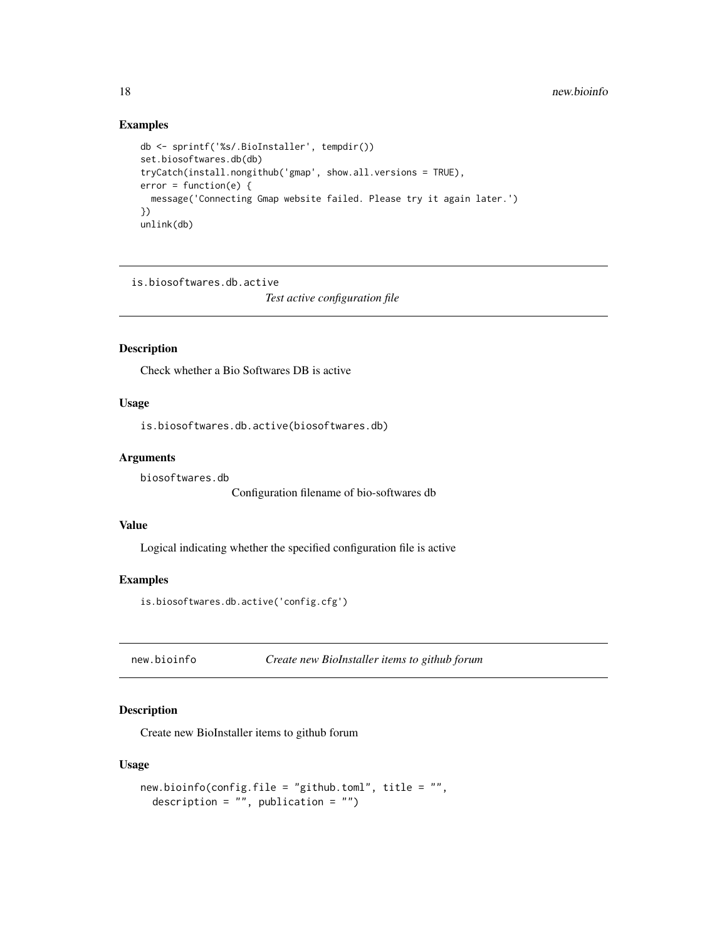#### Examples

```
db <- sprintf('%s/.BioInstaller', tempdir())
set.biosoftwares.db(db)
tryCatch(install.nongithub('gmap', show.all.versions = TRUE),
error = function(e) {
  message('Connecting Gmap website failed. Please try it again later.')
})
unlink(db)
```
is.biosoftwares.db.active

*Test active configuration file*

#### Description

Check whether a Bio Softwares DB is active

#### Usage

is.biosoftwares.db.active(biosoftwares.db)

# Arguments

biosoftwares.db

Configuration filename of bio-softwares db

#### Value

Logical indicating whether the specified configuration file is active

#### Examples

```
is.biosoftwares.db.active('config.cfg')
```
new.bioinfo *Create new BioInstaller items to github forum*

# Description

Create new BioInstaller items to github forum

```
new.bioinfo(config.file = "github.toml", title = "",
 description = "", publication = "")
```
<span id="page-17-0"></span>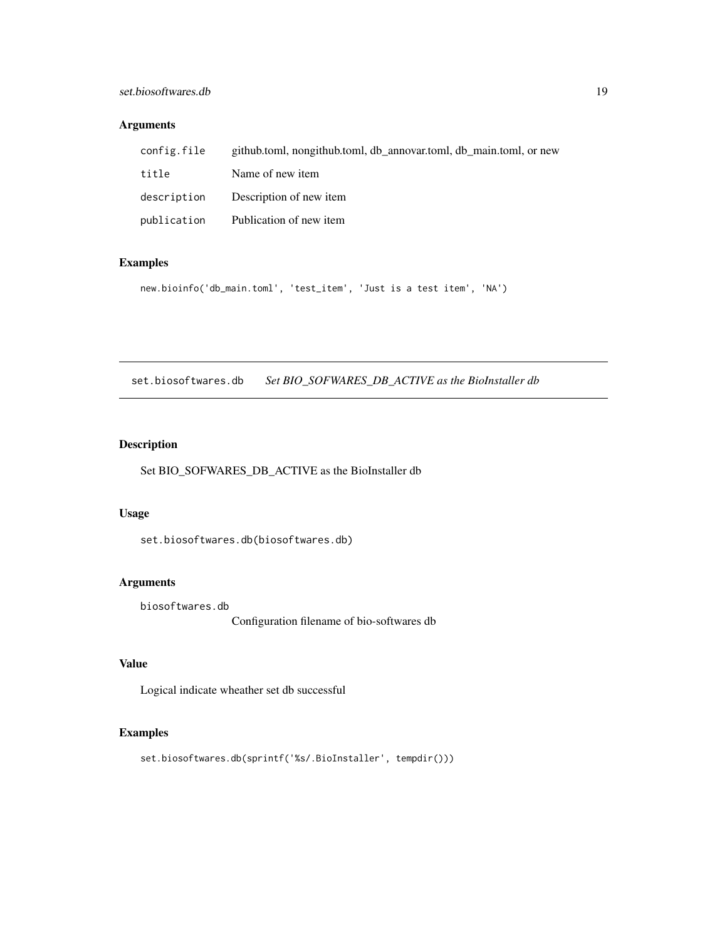# <span id="page-18-0"></span>set.biosoftwares.db 19

# Arguments

| config.file | github.toml, nongithub.toml, db annovar.toml, db main.toml, or new |
|-------------|--------------------------------------------------------------------|
| title       | Name of new item                                                   |
| description | Description of new item                                            |
| publication | Publication of new item                                            |

# Examples

```
new.bioinfo('db_main.toml', 'test_item', 'Just is a test item', 'NA')
```
set.biosoftwares.db *Set BIO\_SOFWARES\_DB\_ACTIVE as the BioInstaller db*

# Description

Set BIO\_SOFWARES\_DB\_ACTIVE as the BioInstaller db

#### Usage

set.biosoftwares.db(biosoftwares.db)

# Arguments

biosoftwares.db

Configuration filename of bio-softwares db

# Value

Logical indicate wheather set db successful

# Examples

set.biosoftwares.db(sprintf('%s/.BioInstaller', tempdir()))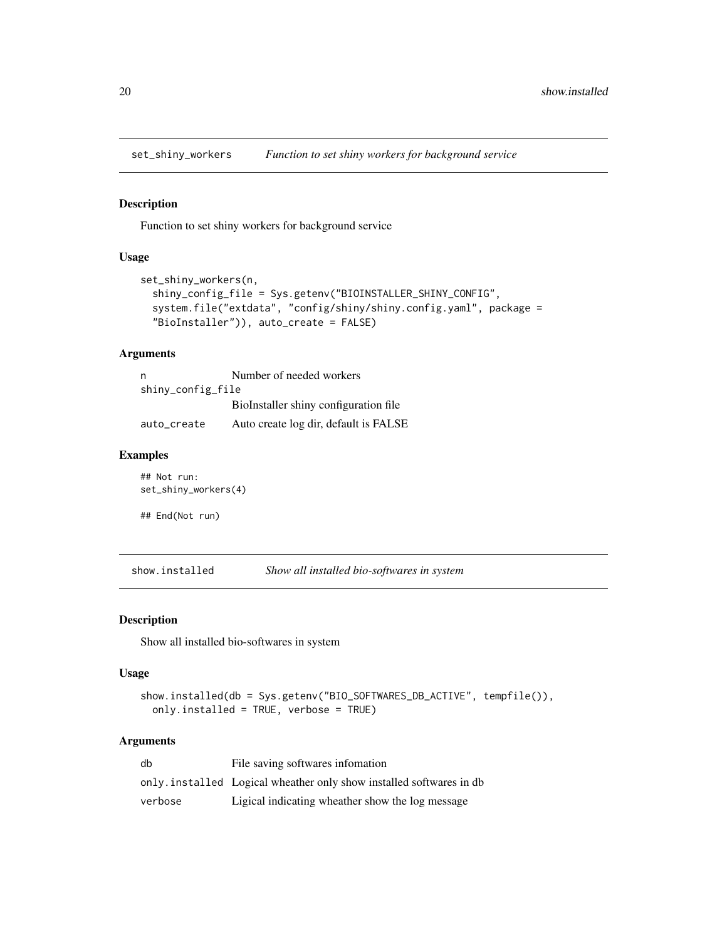<span id="page-19-0"></span>set\_shiny\_workers *Function to set shiny workers for background service*

#### Description

Function to set shiny workers for background service

#### Usage

```
set_shiny_workers(n,
  shiny_config_file = Sys.getenv("BIOINSTALLER_SHINY_CONFIG",
  system.file("extdata", "config/shiny/shiny.config.yaml", package =
 "BioInstaller")), auto_create = FALSE)
```
# Arguments

| n                 | Number of needed workers              |  |  |  |
|-------------------|---------------------------------------|--|--|--|
| shiny_config_file |                                       |  |  |  |
|                   | BioInstaller shiny configuration file |  |  |  |
| auto_create       | Auto create log dir, default is FALSE |  |  |  |

# Examples

## Not run: set\_shiny\_workers(4) ## End(Not run)

show.installed *Show all installed bio-softwares in system*

#### Description

Show all installed bio-softwares in system

#### Usage

```
show.installed(db = Sys.getenv("BIO_SOFTWARES_DB_ACTIVE", tempfile()),
 only.installed = TRUE, verbose = TRUE)
```
#### Arguments

| db      | File saving softwares information                                   |
|---------|---------------------------------------------------------------------|
|         | only installed Logical wheather only show installed softwares in db |
| verbose | Ligical indicating wheather show the log message                    |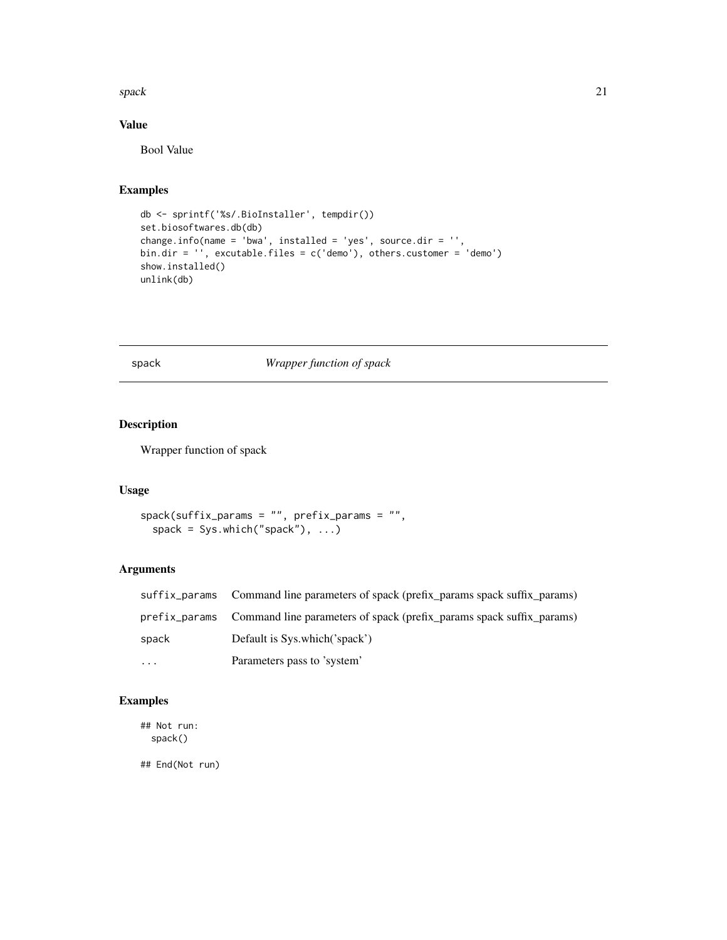#### <span id="page-20-0"></span>spack 21

# Value

Bool Value

# Examples

```
db <- sprintf('%s/.BioInstaller', tempdir())
set.biosoftwares.db(db)
change.info(name = 'bwa', installed = 'yes', source.dir = '',
bin.dir = '', excutable.files = c('demo'), others.customer = 'demo')
show.installed()
unlink(db)
```
# <span id="page-20-1"></span>spack *Wrapper function of spack*

# Description

Wrapper function of spack

#### Usage

```
spack(suffix_params = "", prefix_params = "",
  spack = Sys.which("spack"), ...)
```
# Arguments

|          | suffix_params Command line parameters of spack (prefix_params spack suffix_params) |
|----------|------------------------------------------------------------------------------------|
|          | prefix_params Command line parameters of spack (prefix_params spack suffix_params) |
| spack    | Default is Sys.which('spack')                                                      |
| $\cdots$ | Parameters pass to 'system'                                                        |

# Examples

## Not run: spack()

## End(Not run)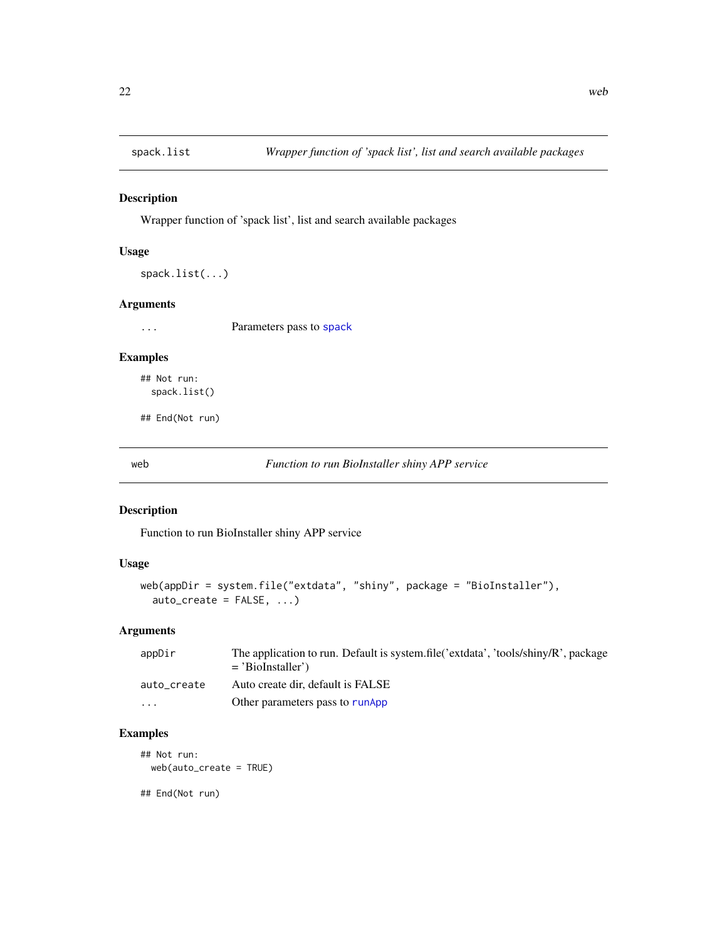<span id="page-21-0"></span>

Wrapper function of 'spack list', list and search available packages

#### Usage

```
spack.list(...)
```
# Arguments

... Parameters pass to [spack](#page-20-1)

#### Examples

## Not run: spack.list()

## End(Not run)

web *Function to run BioInstaller shiny APP service*

#### Description

Function to run BioInstaller shiny APP service

# Usage

```
web(appDir = system.file("extdata", "shiny", package = "BioInstaller"),
  auto\_create = FALSE, ...)
```
#### Arguments

| appDir                  | The application to run. Default is system.file('extdata', 'tools/shiny/R', package |
|-------------------------|------------------------------------------------------------------------------------|
|                         | $=$ 'BioInstaller')                                                                |
| auto_create             | Auto create dir, default is FALSE                                                  |
| $\cdot$ $\cdot$ $\cdot$ | Other parameters pass to runApp                                                    |

# Examples

## Not run: web(auto\_create = TRUE)

## End(Not run)